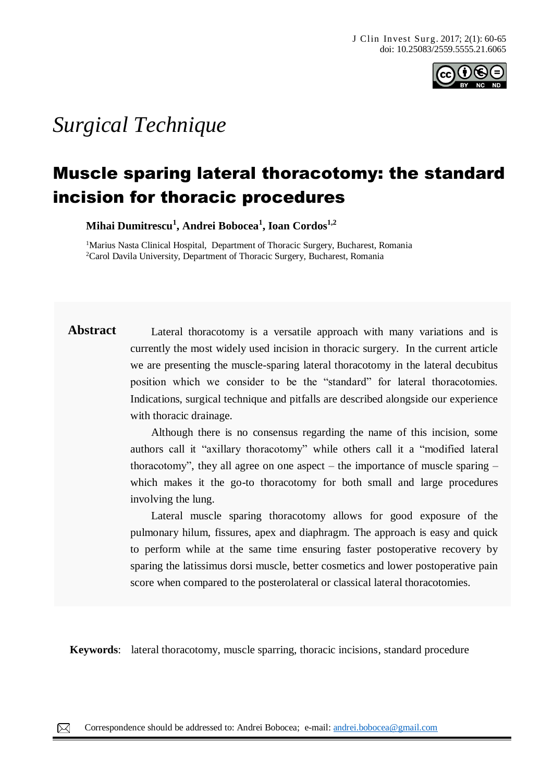

# *Surgical Technique*

# Muscle sparing lateral thoracotomy: the standard incision for thoracic procedures

**Mihai Dumitrescu<sup>1</sup> , Andrei Bobocea<sup>1</sup> , Ioan Cordos1,2** 

<sup>1</sup>Marius Nasta Clinical Hospital, Department of Thoracic Surgery, Bucharest, Romania <sup>2</sup>Carol Davila University, Department of Thoracic Surgery, Bucharest, Romania

**Abstract** Lateral thoracotomy is a versatile approach with many variations and is currently the most widely used incision in thoracic surgery. In the current article we are presenting the muscle-sparing lateral thoracotomy in the lateral decubitus position which we consider to be the "standard" for lateral thoracotomies. Indications, surgical technique and pitfalls are described alongside our experience with thoracic drainage.

> Although there is no consensus regarding the name of this incision, some authors call it "axillary thoracotomy" while others call it a "modified lateral thoracotomy", they all agree on one aspect – the importance of muscle sparing  $$ which makes it the go-to thoracotomy for both small and large procedures involving the lung.

> Lateral muscle sparing thoracotomy allows for good exposure of the pulmonary hilum, fissures, apex and diaphragm. The approach is easy and quick to perform while at the same time ensuring faster postoperative recovery by sparing the latissimus dorsi muscle, better cosmetics and lower postoperative pain score when compared to the posterolateral or classical lateral thoracotomies.

**Keywords**: lateral thoracotomy, muscle sparring, thoracic incisions, standard procedure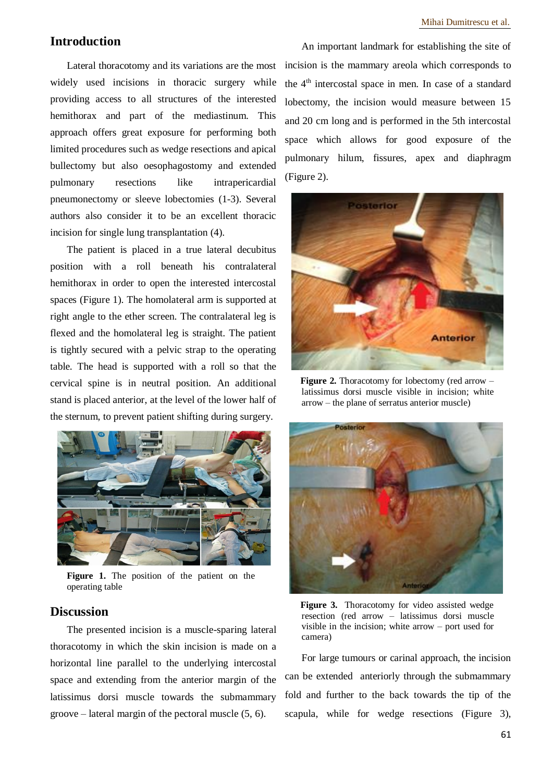# **Introduction**

Lateral thoracotomy and its variations are the most widely used incisions in thoracic surgery while providing access to all structures of the interested hemithorax and part of the mediastinum. This approach offers great exposure for performing both limited procedures such as wedge resections and apical bullectomy but also oesophagostomy and extended pulmonary resections like intrapericardial pneumonectomy or sleeve lobectomies (1-3). Several authors also consider it to be an excellent thoracic incision for single lung transplantation (4).

The patient is placed in a true lateral decubitus position with a roll beneath his contralateral hemithorax in order to open the interested intercostal spaces (Figure 1). The homolateral arm is supported at right angle to the ether screen. The contralateral leg is flexed and the homolateral leg is straight. The patient is tightly secured with a pelvic strap to the operating table. The head is supported with a roll so that the cervical spine is in neutral position. An additional stand is placed anterior, at the level of the lower half of the sternum, to prevent patient shifting during surgery.



**Figure 1.** The position of the patient on the operating table

## **Discussion**

The presented incision is a muscle-sparing lateral thoracotomy in which the skin incision is made on a horizontal line parallel to the underlying intercostal space and extending from the anterior margin of the latissimus dorsi muscle towards the submammary groove – lateral margin of the pectoral muscle (5, 6).

An important landmark for establishing the site of incision is the mammary areola which corresponds to the  $4<sup>th</sup>$  intercostal space in men. In case of a standard lobectomy, the incision would measure between 15 and 20 cm long and is performed in the 5th intercostal space which allows for good exposure of the pulmonary hilum, fissures, apex and diaphragm (Figure 2).



**Figure 2.** Thoracotomy for lobectomy (red arrow – latissimus dorsi muscle visible in incision; white arrow – the plane of serratus anterior muscle)



**Figure 3.** Thoracotomy for video assisted wedge resection (red arrow – latissimus dorsi muscle visible in the incision; white arrow – port used for camera)

For large tumours or carinal approach, the incision can be extended anteriorly through the submammary fold and further to the back towards the tip of the scapula, while for wedge resections (Figure 3),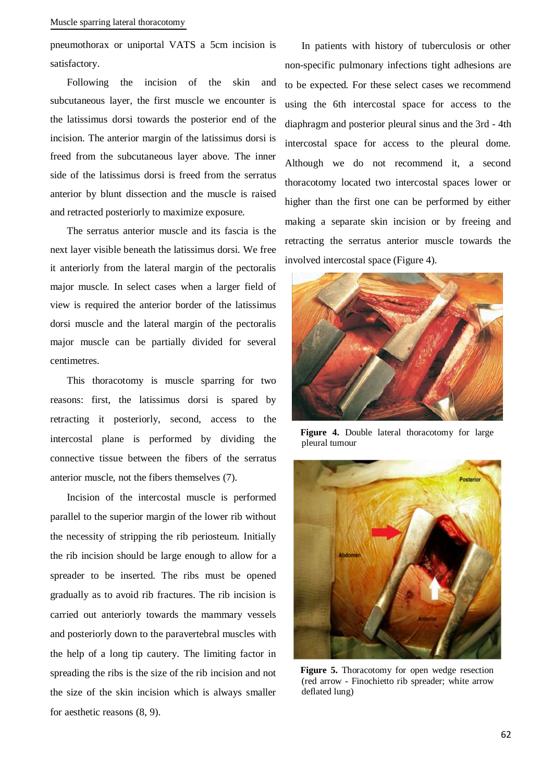pneumothorax or uniportal VATS a 5cm incision is satisfactory.

Following the incision of the skin and subcutaneous layer, the first muscle we encounter is the latissimus dorsi towards the posterior end of the incision. The anterior margin of the latissimus dorsi is freed from the subcutaneous layer above. The inner side of the latissimus dorsi is freed from the serratus anterior by blunt dissection and the muscle is raised and retracted posteriorly to maximize exposure.

The serratus anterior muscle and its fascia is the next layer visible beneath the latissimus dorsi. We free it anteriorly from the lateral margin of the pectoralis major muscle. In select cases when a larger field of view is required the anterior border of the latissimus dorsi muscle and the lateral margin of the pectoralis major muscle can be partially divided for several centimetres.

This thoracotomy is muscle sparring for two reasons: first, the latissimus dorsi is spared by retracting it posteriorly, second, access to the intercostal plane is performed by dividing the connective tissue between the fibers of the serratus anterior muscle, not the fibers themselves (7).

Incision of the intercostal muscle is performed parallel to the superior margin of the lower rib without the necessity of stripping the rib periosteum. Initially the rib incision should be large enough to allow for a spreader to be inserted. The ribs must be opened gradually as to avoid rib fractures. The rib incision is carried out anteriorly towards the mammary vessels and posteriorly down to the paravertebral muscles with the help of a long tip cautery. The limiting factor in spreading the ribs is the size of the rib incision and not the size of the skin incision which is always smaller for aesthetic reasons (8, 9).

In patients with history of tuberculosis or other non-specific pulmonary infections tight adhesions are to be expected. For these select cases we recommend using the 6th intercostal space for access to the diaphragm and posterior pleural sinus and the 3rd - 4th intercostal space for access to the pleural dome. Although we do not recommend it, a second thoracotomy located two intercostal spaces lower or higher than the first one can be performed by either making a separate skin incision or by freeing and retracting the serratus anterior muscle towards the involved intercostal space (Figure 4).



**Figure 4.** Double lateral thoracotomy for large pleural tumour



**Figure 5.** Thoracotomy for open wedge resection (red arrow - Finochietto rib spreader; white arrow deflated lung)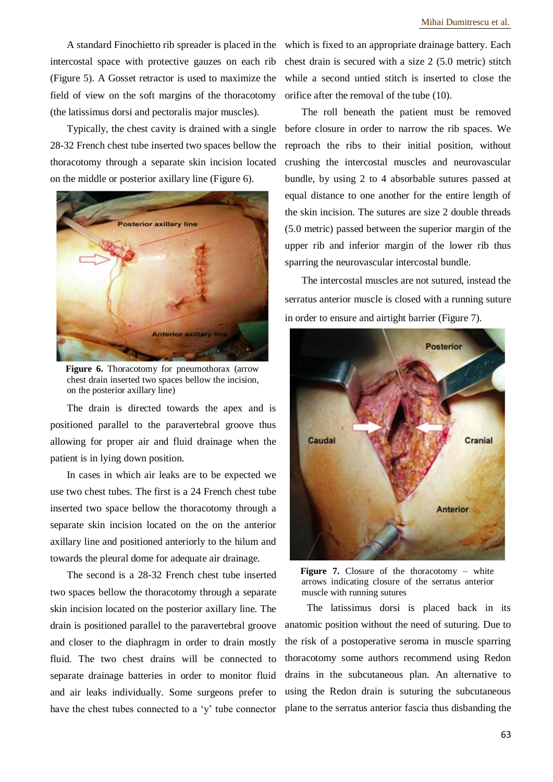A standard Finochietto rib spreader is placed in the intercostal space with protective gauzes on each rib (Figure 5). A Gosset retractor is used to maximize the field of view on the soft margins of the thoracotomy (the latissimus dorsi and pectoralis major muscles).

Typically, the chest cavity is drained with a single 28-32 French chest tube inserted two spaces bellow the thoracotomy through a separate skin incision located on the middle or posterior axillary line (Figure 6).



**Figure 6.** Thoracotomy for pneumothorax (arrow chest drain inserted two spaces bellow the incision, on the posterior axillary line)

The drain is directed towards the apex and is positioned parallel to the paravertebral groove thus allowing for proper air and fluid drainage when the patient is in lying down position.

In cases in which air leaks are to be expected we use two chest tubes. The first is a 24 French chest tube inserted two space bellow the thoracotomy through a separate skin incision located on the on the anterior axillary line and positioned anteriorly to the hilum and towards the pleural dome for adequate air drainage.

The second is a 28-32 French chest tube inserted two spaces bellow the thoracotomy through a separate skin incision located on the posterior axillary line. The drain is positioned parallel to the paravertebral groove and closer to the diaphragm in order to drain mostly fluid. The two chest drains will be connected to separate drainage batteries in order to monitor fluid and air leaks individually. Some surgeons prefer to have the chest tubes connected to a 'y' tube connector

which is fixed to an appropriate drainage battery. Each chest drain is secured with a size 2 (5.0 metric) stitch while a second untied stitch is inserted to close the orifice after the removal of the tube (10).

The roll beneath the patient must be removed before closure in order to narrow the rib spaces. We reproach the ribs to their initial position, without crushing the intercostal muscles and neurovascular bundle, by using 2 to 4 absorbable sutures passed at equal distance to one another for the entire length of the skin incision. The sutures are size 2 double threads (5.0 metric) passed between the superior margin of the upper rib and inferior margin of the lower rib thus sparring the neurovascular intercostal bundle.

The intercostal muscles are not sutured, instead the serratus anterior muscle is closed with a running suture in order to ensure and airtight barrier (Figure 7).



**Figure 7.** Closure of the thoracotomy – white arrows indicating closure of the serratus anterior muscle with running sutures

 The latissimus dorsi is placed back in its anatomic position without the need of suturing. Due to the risk of a postoperative seroma in muscle sparring thoracotomy some authors recommend using Redon drains in the subcutaneous plan. An alternative to using the Redon drain is suturing the subcutaneous plane to the serratus anterior fascia thus disbanding the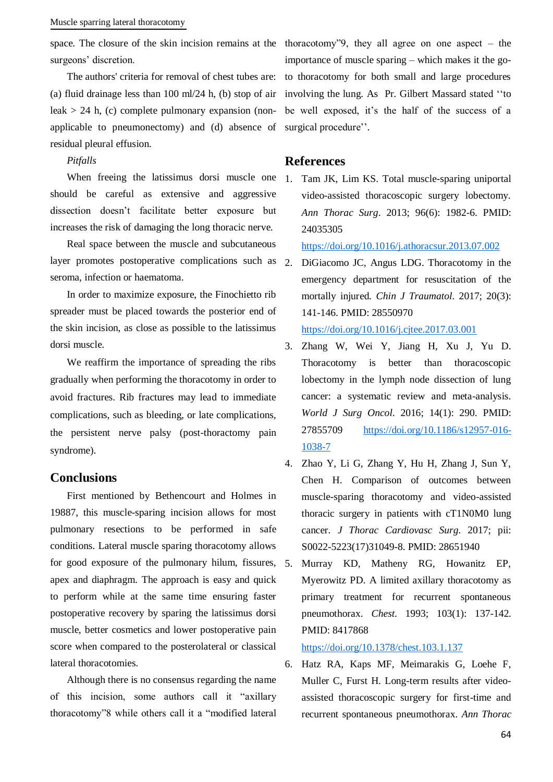#### Muscle sparring lateral thoracotomy

surgeons' discretion.

The authors' criteria for removal of chest tubes are: (a) fluid drainage less than 100 ml/24 h, (b) stop of air leak  $> 24$  h, (c) complete pulmonary expansion (nonapplicable to pneumonectomy) and (d) absence of residual pleural effusion.

### *Pitfalls*

When freeing the latissimus dorsi muscle one should be careful as extensive and aggressive dissection doesn't facilitate better exposure but increases the risk of damaging the long thoracic nerve.

Real space between the muscle and subcutaneous layer promotes postoperative complications such as seroma, infection or haematoma.

In order to maximize exposure, the Finochietto rib spreader must be placed towards the posterior end of the skin incision, as close as possible to the latissimus dorsi muscle.

We reaffirm the importance of spreading the ribs gradually when performing the thoracotomy in order to avoid fractures. Rib fractures may lead to immediate complications, such as bleeding, or late complications, the persistent nerve palsy (post-thoractomy pain syndrome).

# **Conclusions**

First mentioned by Bethencourt and Holmes in 19887, this muscle-sparing incision allows for most pulmonary resections to be performed in safe conditions. Lateral muscle sparing thoracotomy allows for good exposure of the pulmonary hilum, fissures, 5. apex and diaphragm. The approach is easy and quick to perform while at the same time ensuring faster postoperative recovery by sparing the latissimus dorsi muscle, better cosmetics and lower postoperative pain score when compared to the posterolateral or classical lateral thoracotomies.

Although there is no consensus regarding the name of this incision, some authors call it "axillary thoracotomy"8 while others call it a "modified lateral

space. The closure of the skin incision remains at the thoracotomy"9, they all agree on one aspect – the importance of muscle sparing – which makes it the goto thoracotomy for both small and large procedures involving the lung. As Pr. Gilbert Massard stated ''to be well exposed, it's the half of the success of a surgical procedure''.

# **References**

1. Tam JK, Lim KS. Total muscle-sparing uniportal video-assisted thoracoscopic surgery lobectomy. *Ann Thorac Surg*. 2013; 96(6): 1982-6. PMID: 24035305

<https://doi.org/10.1016/j.athoracsur.2013.07.002>

2. DiGiacomo JC, Angus LDG. Thoracotomy in the emergency department for resuscitation of the mortally injured. *Chin J Traumatol*. 2017; 20(3): 141-146. PMID: 28550970

<https://doi.org/10.1016/j.cjtee.2017.03.001>

- 3. Zhang W, Wei Y, Jiang H, Xu J, Yu D. Thoracotomy is better than thoracoscopic lobectomy in the lymph node dissection of lung cancer: a systematic review and meta-analysis. *World J Surg Oncol*. 2016; 14(1): 290. PMID: 27855709 [https://doi.org/10.1186/s12957-016-](https://doi.org/10.1186/s12957-016-1038-7) [1038-7](https://doi.org/10.1186/s12957-016-1038-7)
- 4. Zhao Y, Li G, Zhang Y, Hu H, Zhang J, Sun Y, Chen H. Comparison of outcomes between muscle-sparing thoracotomy and video-assisted thoracic surgery in patients with cT1N0M0 lung cancer. *J Thorac Cardiovasc Surg*. 2017; pii: S0022-5223(17)31049-8. PMID: 28651940
- 5. Murray KD, Matheny RG, Howanitz EP, Myerowitz PD. A limited axillary thoracotomy as primary treatment for recurrent spontaneous pneumothorax. *Chest*. 1993; 103(1): 137-142. PMID: 8417868

<https://doi.org/10.1378/chest.103.1.137>

6. Hatz RA, Kaps MF, Meimarakis G, Loehe F, Muller C, Furst H. Long-term results after videoassisted thoracoscopic surgery for first-time and recurrent spontaneous pneumothorax. *Ann Thorac*